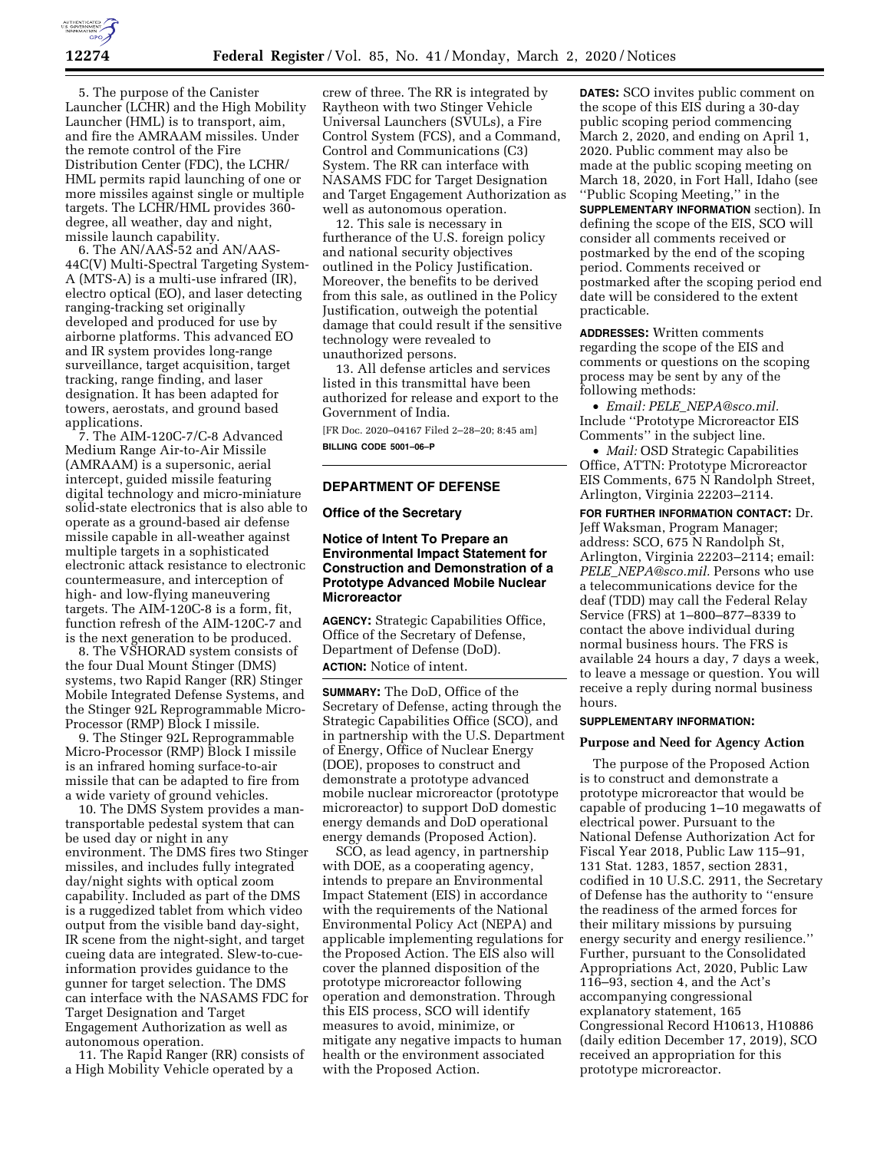

5. The purpose of the Canister Launcher (LCHR) and the High Mobility Launcher (HML) is to transport, aim, and fire the AMRAAM missiles. Under the remote control of the Fire Distribution Center (FDC), the LCHR/ HML permits rapid launching of one or more missiles against single or multiple targets. The LCHR/HML provides 360 degree, all weather, day and night, missile launch capability.

6. The AN/AAS-52 and AN/AAS-44C(V) Multi-Spectral Targeting System-A (MTS-A) is a multi-use infrared (IR), electro optical (EO), and laser detecting ranging-tracking set originally developed and produced for use by airborne platforms. This advanced EO and IR system provides long-range surveillance, target acquisition, target tracking, range finding, and laser designation. It has been adapted for towers, aerostats, and ground based applications.

7. The AIM-120C-7/C-8 Advanced Medium Range Air-to-Air Missile (AMRAAM) is a supersonic, aerial intercept, guided missile featuring digital technology and micro-miniature solid-state electronics that is also able to operate as a ground-based air defense missile capable in all-weather against multiple targets in a sophisticated electronic attack resistance to electronic countermeasure, and interception of high- and low-flying maneuvering targets. The AIM-120C-8 is a form, fit, function refresh of the AIM-120C-7 and is the next generation to be produced.

8. The VSHORAD system consists of the four Dual Mount Stinger (DMS) systems, two Rapid Ranger (RR) Stinger Mobile Integrated Defense Systems, and the Stinger 92L Reprogrammable Micro-Processor (RMP) Block I missile.

9. The Stinger 92L Reprogrammable Micro-Processor (RMP) Block I missile is an infrared homing surface-to-air missile that can be adapted to fire from a wide variety of ground vehicles.

10. The DMS System provides a mantransportable pedestal system that can be used day or night in any environment. The DMS fires two Stinger missiles, and includes fully integrated day/night sights with optical zoom capability. Included as part of the DMS is a ruggedized tablet from which video output from the visible band day-sight, IR scene from the night-sight, and target cueing data are integrated. Slew-to-cueinformation provides guidance to the gunner for target selection. The DMS can interface with the NASAMS FDC for Target Designation and Target Engagement Authorization as well as autonomous operation.

11. The Rapid Ranger (RR) consists of a High Mobility Vehicle operated by a

crew of three. The RR is integrated by Raytheon with two Stinger Vehicle Universal Launchers (SVULs), a Fire Control System (FCS), and a Command, Control and Communications (C3) System. The RR can interface with NASAMS FDC for Target Designation and Target Engagement Authorization as well as autonomous operation.

12. This sale is necessary in furtherance of the U.S. foreign policy and national security objectives outlined in the Policy Justification. Moreover, the benefits to be derived from this sale, as outlined in the Policy Justification, outweigh the potential damage that could result if the sensitive technology were revealed to unauthorized persons.

13. All defense articles and services listed in this transmittal have been authorized for release and export to the Government of India.

[FR Doc. 2020–04167 Filed 2–28–20; 8:45 am] **BILLING CODE 5001–06–P** 

## **DEPARTMENT OF DEFENSE**

#### **Office of the Secretary**

# **Notice of Intent To Prepare an Environmental Impact Statement for Construction and Demonstration of a Prototype Advanced Mobile Nuclear Microreactor**

**AGENCY:** Strategic Capabilities Office, Office of the Secretary of Defense, Department of Defense (DoD). **ACTION:** Notice of intent.

**SUMMARY:** The DoD, Office of the Secretary of Defense, acting through the Strategic Capabilities Office (SCO), and in partnership with the U.S. Department of Energy, Office of Nuclear Energy (DOE), proposes to construct and demonstrate a prototype advanced mobile nuclear microreactor (prototype microreactor) to support DoD domestic energy demands and DoD operational energy demands (Proposed Action).

SCO, as lead agency, in partnership with DOE, as a cooperating agency, intends to prepare an Environmental Impact Statement (EIS) in accordance with the requirements of the National Environmental Policy Act (NEPA) and applicable implementing regulations for the Proposed Action. The EIS also will cover the planned disposition of the prototype microreactor following operation and demonstration. Through this EIS process, SCO will identify measures to avoid, minimize, or mitigate any negative impacts to human health or the environment associated with the Proposed Action.

**DATES:** SCO invites public comment on the scope of this EIS during a 30-day public scoping period commencing March 2, 2020, and ending on April 1, 2020. Public comment may also be made at the public scoping meeting on March 18, 2020, in Fort Hall, Idaho (see ''Public Scoping Meeting,'' in the **SUPPLEMENTARY INFORMATION** section). In defining the scope of the EIS, SCO will consider all comments received or postmarked by the end of the scoping

period. Comments received or postmarked after the scoping period end date will be considered to the extent practicable.

**ADDRESSES:** Written comments regarding the scope of the EIS and comments or questions on the scoping process may be sent by any of the following methods:

• *Email: PELE*\_*[NEPA@sco.mil.](mailto:PELE_NEPA@sco.mil)*  Include ''Prototype Microreactor EIS Comments'' in the subject line.

• *Mail:* OSD Strategic Capabilities Office, ATTN: Prototype Microreactor EIS Comments, 675 N Randolph Street, Arlington, Virginia 22203–2114.

**FOR FURTHER INFORMATION CONTACT:** Dr. Jeff Waksman, Program Manager; address: SCO, 675 N Randolph St, Arlington, Virginia 22203–2114; email: *PELE*\_*[NEPA@sco.mil.](mailto:PELE_NEPA@sco.mil)* Persons who use a telecommunications device for the deaf (TDD) may call the Federal Relay Service (FRS) at 1–800–877–8339 to contact the above individual during normal business hours. The FRS is available 24 hours a day, 7 days a week, to leave a message or question. You will receive a reply during normal business hours.

#### **SUPPLEMENTARY INFORMATION:**

#### **Purpose and Need for Agency Action**

The purpose of the Proposed Action is to construct and demonstrate a prototype microreactor that would be capable of producing 1–10 megawatts of electrical power. Pursuant to the National Defense Authorization Act for Fiscal Year 2018, Public Law 115–91, 131 Stat. 1283, 1857, section 2831, codified in 10 U.S.C. 2911, the Secretary of Defense has the authority to ''ensure the readiness of the armed forces for their military missions by pursuing energy security and energy resilience.'' Further, pursuant to the Consolidated Appropriations Act, 2020, Public Law 116–93, section 4, and the Act's accompanying congressional explanatory statement, 165 Congressional Record H10613, H10886 (daily edition December 17, 2019), SCO received an appropriation for this prototype microreactor.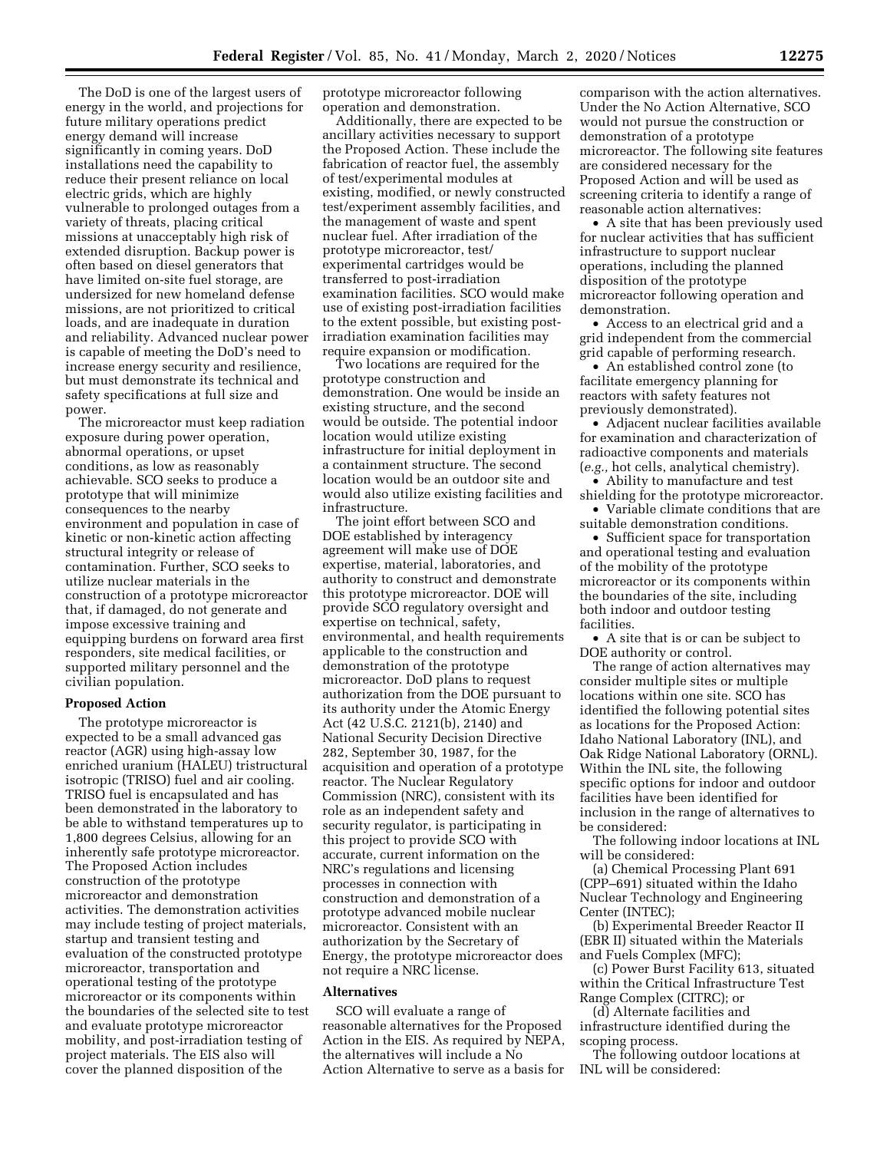The DoD is one of the largest users of energy in the world, and projections for future military operations predict energy demand will increase significantly in coming years. DoD installations need the capability to reduce their present reliance on local electric grids, which are highly vulnerable to prolonged outages from a variety of threats, placing critical missions at unacceptably high risk of extended disruption. Backup power is often based on diesel generators that have limited on-site fuel storage, are undersized for new homeland defense missions, are not prioritized to critical loads, and are inadequate in duration and reliability. Advanced nuclear power is capable of meeting the DoD's need to increase energy security and resilience, but must demonstrate its technical and safety specifications at full size and power.

The microreactor must keep radiation exposure during power operation, abnormal operations, or upset conditions, as low as reasonably achievable. SCO seeks to produce a prototype that will minimize consequences to the nearby environment and population in case of kinetic or non-kinetic action affecting structural integrity or release of contamination. Further, SCO seeks to utilize nuclear materials in the construction of a prototype microreactor that, if damaged, do not generate and impose excessive training and equipping burdens on forward area first responders, site medical facilities, or supported military personnel and the civilian population.

### **Proposed Action**

The prototype microreactor is expected to be a small advanced gas reactor (AGR) using high-assay low enriched uranium (HALEU) tristructural isotropic (TRISO) fuel and air cooling. TRISO fuel is encapsulated and has been demonstrated in the laboratory to be able to withstand temperatures up to 1,800 degrees Celsius, allowing for an inherently safe prototype microreactor. The Proposed Action includes construction of the prototype microreactor and demonstration activities. The demonstration activities may include testing of project materials, startup and transient testing and evaluation of the constructed prototype microreactor, transportation and operational testing of the prototype microreactor or its components within the boundaries of the selected site to test and evaluate prototype microreactor mobility, and post-irradiation testing of project materials. The EIS also will cover the planned disposition of the

prototype microreactor following operation and demonstration.

Additionally, there are expected to be ancillary activities necessary to support the Proposed Action. These include the fabrication of reactor fuel, the assembly of test/experimental modules at existing, modified, or newly constructed test/experiment assembly facilities, and the management of waste and spent nuclear fuel. After irradiation of the prototype microreactor, test/ experimental cartridges would be transferred to post-irradiation examination facilities. SCO would make use of existing post-irradiation facilities to the extent possible, but existing postirradiation examination facilities may require expansion or modification.

Two locations are required for the prototype construction and demonstration. One would be inside an existing structure, and the second would be outside. The potential indoor location would utilize existing infrastructure for initial deployment in a containment structure. The second location would be an outdoor site and would also utilize existing facilities and infrastructure.

The joint effort between SCO and DOE established by interagency agreement will make use of DOE expertise, material, laboratories, and authority to construct and demonstrate this prototype microreactor. DOE will provide SCO regulatory oversight and expertise on technical, safety, environmental, and health requirements applicable to the construction and demonstration of the prototype microreactor. DoD plans to request authorization from the DOE pursuant to its authority under the Atomic Energy Act (42 U.S.C. 2121(b), 2140) and National Security Decision Directive 282, September 30, 1987, for the acquisition and operation of a prototype reactor. The Nuclear Regulatory Commission (NRC), consistent with its role as an independent safety and security regulator, is participating in this project to provide SCO with accurate, current information on the NRC's regulations and licensing processes in connection with construction and demonstration of a prototype advanced mobile nuclear microreactor. Consistent with an authorization by the Secretary of Energy, the prototype microreactor does not require a NRC license.

#### **Alternatives**

SCO will evaluate a range of reasonable alternatives for the Proposed Action in the EIS. As required by NEPA, the alternatives will include a No Action Alternative to serve as a basis for

comparison with the action alternatives. Under the No Action Alternative, SCO would not pursue the construction or demonstration of a prototype microreactor. The following site features are considered necessary for the Proposed Action and will be used as screening criteria to identify a range of reasonable action alternatives:

• A site that has been previously used for nuclear activities that has sufficient infrastructure to support nuclear operations, including the planned disposition of the prototype microreactor following operation and demonstration.

• Access to an electrical grid and a grid independent from the commercial grid capable of performing research.

• An established control zone (to facilitate emergency planning for reactors with safety features not previously demonstrated).

• Adjacent nuclear facilities available for examination and characterization of radioactive components and materials (*e.g.,* hot cells, analytical chemistry).

• Ability to manufacture and test shielding for the prototype microreactor.

• Variable climate conditions that are suitable demonstration conditions.

• Sufficient space for transportation and operational testing and evaluation of the mobility of the prototype microreactor or its components within the boundaries of the site, including both indoor and outdoor testing facilities.

• A site that is or can be subject to DOE authority or control.

The range of action alternatives may consider multiple sites or multiple locations within one site. SCO has identified the following potential sites as locations for the Proposed Action: Idaho National Laboratory (INL), and Oak Ridge National Laboratory (ORNL). Within the INL site, the following specific options for indoor and outdoor facilities have been identified for inclusion in the range of alternatives to be considered:

The following indoor locations at INL will be considered:

(a) Chemical Processing Plant 691 (CPP–691) situated within the Idaho Nuclear Technology and Engineering Center (INTEC);

(b) Experimental Breeder Reactor II (EBR II) situated within the Materials and Fuels Complex (MFC);

(c) Power Burst Facility 613, situated within the Critical Infrastructure Test Range Complex (CITRC); or

(d) Alternate facilities and infrastructure identified during the scoping process.

The following outdoor locations at INL will be considered: